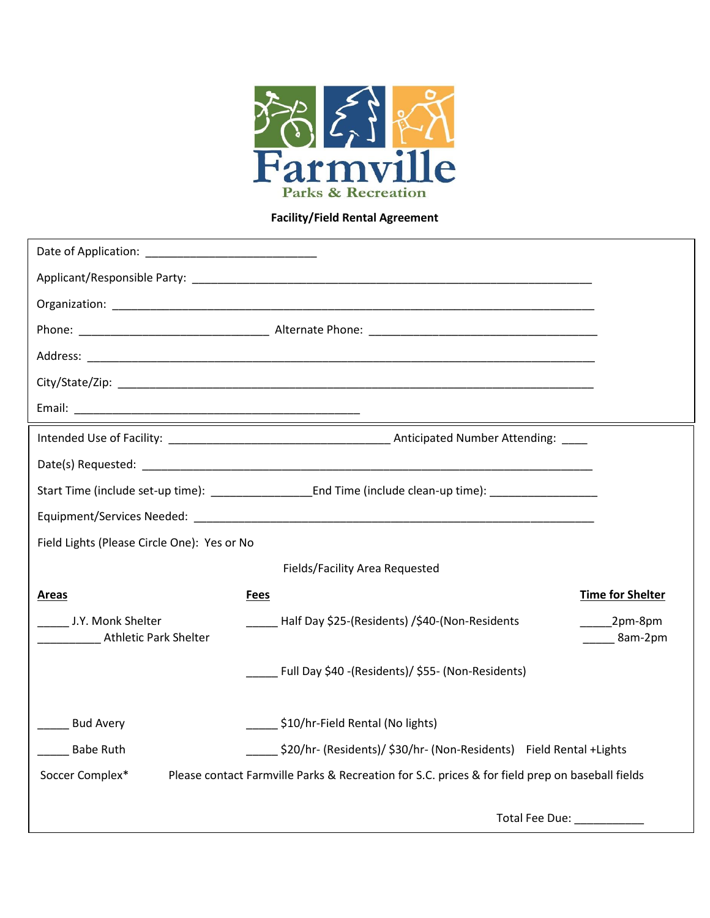

## **Facility/Field Rental Agreement**

| Field Lights (Please Circle One): Yes or No                                                                        |                                                                         |
|--------------------------------------------------------------------------------------------------------------------|-------------------------------------------------------------------------|
| Fields/Facility Area Requested                                                                                     |                                                                         |
| <b>Areas</b>                                                                                                       | <b>Time for Shelter</b><br><b>Fees</b>                                  |
| J.Y. Monk Shelter<br>Athletic Park Shelter                                                                         | Half Day \$25-(Residents) /\$40-(Non-Residents<br>$2pm-8pm$<br>8am-2pm  |
|                                                                                                                    | Full Day \$40 -(Residents)/ \$55- (Non-Residents)                       |
| <b>Bud Avery</b>                                                                                                   | \$10/hr-Field Rental (No lights)                                        |
| <b>Babe Ruth</b>                                                                                                   | \$20/hr- (Residents)/ \$30/hr- (Non-Residents)    Field Rental + Lights |
| Soccer Complex*<br>Please contact Farmville Parks & Recreation for S.C. prices & for field prep on baseball fields |                                                                         |
|                                                                                                                    | Total Fee Due: ________                                                 |